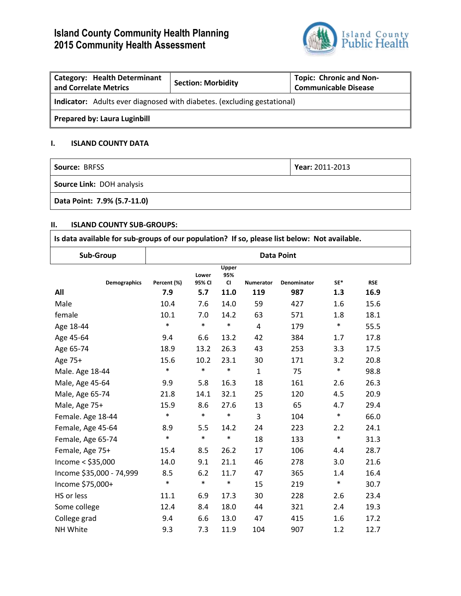# **Island County Community Health Planning 2015 Community Health Assessment**



| Category: Health Determinant<br>and Correlate Metrics                   | <b>Section: Morbidity</b> | <b>Topic: Chronic and Non-</b><br><b>Communicable Disease</b> |  |  |  |  |
|-------------------------------------------------------------------------|---------------------------|---------------------------------------------------------------|--|--|--|--|
| Indicator: Adults ever diagnosed with diabetes. (excluding gestational) |                           |                                                               |  |  |  |  |
| Prepared by: Laura Luginbill                                            |                           |                                                               |  |  |  |  |

## **I. ISLAND COUNTY DATA**

| <b>Source: BRFSS</b>             | Year: 2011-2013 |
|----------------------------------|-----------------|
| <b>Source Link: DOH analysis</b> |                 |
| Data Point: 7.9% (5.7-11.0)      |                 |

## **II. ISLAND COUNTY SUB-GROUPS:**

| ΙΙ.<br><b>ISLAND COUNTY SUB-GROUPS:</b><br>Is data available for sub-groups of our population? If so, please list below: Not available. |                   |                 |                           |                         |                    |        |            |  |
|-----------------------------------------------------------------------------------------------------------------------------------------|-------------------|-----------------|---------------------------|-------------------------|--------------------|--------|------------|--|
| Sub-Group                                                                                                                               | <b>Data Point</b> |                 |                           |                         |                    |        |            |  |
| <b>Demographics</b>                                                                                                                     | Percent (%)       | Lower<br>95% CI | Upper<br>95%<br><b>CI</b> | <b>Numerator</b>        | <b>Denominator</b> | SE*    | <b>RSE</b> |  |
| All                                                                                                                                     | 7.9               | 5.7             | 11.0                      | 119                     | 987                | 1.3    | 16.9       |  |
| Male                                                                                                                                    | 10.4              | 7.6             | 14.0                      | 59                      | 427                | 1.6    | 15.6       |  |
| female                                                                                                                                  | 10.1              | 7.0             | 14.2                      | 63                      | 571                | 1.8    | 18.1       |  |
| Age 18-44                                                                                                                               | $\ast$            | $\ast$          | $\ast$                    | $\overline{\mathbf{4}}$ | 179                | $\ast$ | 55.5       |  |
| Age 45-64                                                                                                                               | 9.4               | 6.6             | 13.2                      | 42                      | 384                | 1.7    | 17.8       |  |
| Age 65-74                                                                                                                               | 18.9              | 13.2            | 26.3                      | 43                      | 253                | 3.3    | 17.5       |  |
| Age 75+                                                                                                                                 | 15.6              | 10.2            | 23.1                      | 30                      | 171                | 3.2    | 20.8       |  |
| Male. Age 18-44                                                                                                                         | $\ast$            | $\ast$          | $\ast$                    | $\mathbf{1}$            | 75                 | $\ast$ | 98.8       |  |
| Male, Age 45-64                                                                                                                         | 9.9               | 5.8             | 16.3                      | 18                      | 161                | 2.6    | 26.3       |  |
| Male, Age 65-74                                                                                                                         | 21.8              | 14.1            | 32.1                      | 25                      | 120                | 4.5    | 20.9       |  |
| Male, Age 75+                                                                                                                           | 15.9              | 8.6             | 27.6                      | 13                      | 65                 | 4.7    | 29.4       |  |
| Female. Age 18-44                                                                                                                       | $\ast$            | $\ast$          | $\ast$                    | 3                       | 104                | $\ast$ | 66.0       |  |
| Female, Age 45-64                                                                                                                       | 8.9               | 5.5             | 14.2                      | 24                      | 223                | 2.2    | 24.1       |  |
| Female, Age 65-74                                                                                                                       | $\ast$            | $\ast$          | $\ast$                    | 18                      | 133                | $\ast$ | 31.3       |  |
| Female, Age 75+                                                                                                                         | 15.4              | 8.5             | 26.2                      | 17                      | 106                | 4.4    | 28.7       |  |
| Income $<$ \$35,000                                                                                                                     | 14.0              | 9.1             | 21.1                      | 46                      | 278                | 3.0    | 21.6       |  |
| Income \$35,000 - 74,999                                                                                                                | 8.5               | 6.2             | 11.7                      | 47                      | 365                | 1.4    | 16.4       |  |
| Income \$75,000+                                                                                                                        | $\ast$            | $\ast$          | $\ast$                    | 15                      | 219                | $\ast$ | 30.7       |  |
| HS or less                                                                                                                              | 11.1              | 6.9             | 17.3                      | 30                      | 228                | 2.6    | 23.4       |  |
| Some college                                                                                                                            | 12.4              | 8.4             | 18.0                      | 44                      | 321                | 2.4    | 19.3       |  |
| College grad                                                                                                                            | 9.4               | 6.6             | 13.0                      | 47                      | 415                | 1.6    | 17.2       |  |
| NH White                                                                                                                                | 9.3               | 7.3             | 11.9                      | 104                     | 907                | 1.2    | 12.7       |  |